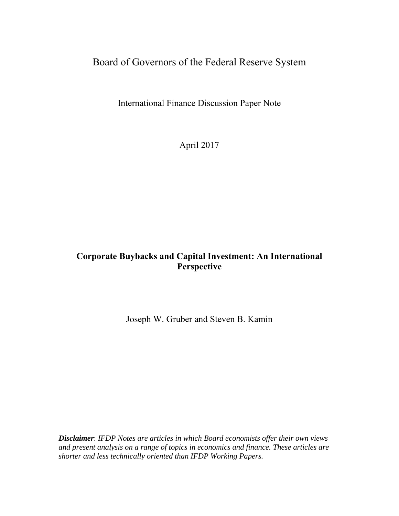# Board of Governors of the Federal Reserve System

International Finance Discussion Paper Note

April 2017

## **Corporate Buybacks and Capital Investment: An International Perspective**

Joseph W. Gruber and Steven B. Kamin

*Disclaimer*: *IFDP Notes are articles in which Board economists offer their own views and present analysis on a range of topics in economics and finance. These articles are shorter and less technically oriented than IFDP Working Papers.*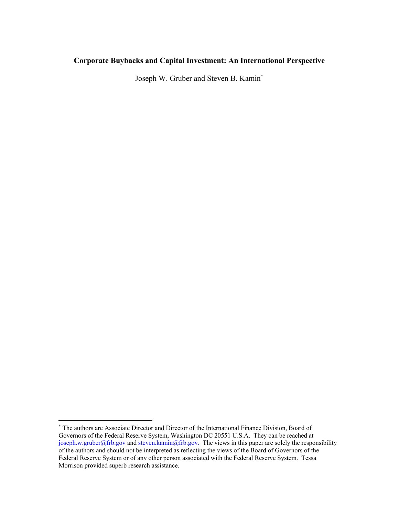## **Corporate Buybacks and Capital Investment: An International Perspective**

Joseph W. Gruber and Steven B. Kamin\*

 $\overline{a}$ 

<sup>\*</sup> The authors are Associate Director and Director of the International Finance Division, Board of Governors of the Federal Reserve System, Washington DC 20551 U.S.A. They can be reached at joseph.w.gruber@frb.gov and steven.kamin@frb.gov. The views in this paper are solely the responsibility of the authors and should not be interpreted as reflecting the views of the Board of Governors of the Federal Reserve System or of any other person associated with the Federal Reserve System. Tessa Morrison provided superb research assistance.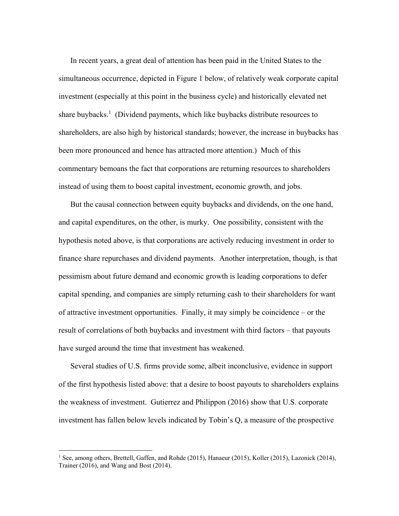In recent years, a great deal of attention has been paid in the United States to the simultaneous occurrence, depicted in Figure 1 below, of relatively weak corporate capital investment (especially at this point in the business cycle) and historically elevated net share buybacks.<sup>1</sup> (Dividend payments, which like buybacks distribute resources to shareholders, are also high by historical standards; however, the increase in buybacks has been more pronounced and hence has attracted more attention.) Much of this commentary bemoans the fact that corporations are returning resources to shareholders instead of using them to boost capital investment, economic growth, and jobs.

But the causal connection between equity buybacks and dividends, on the one hand, and capital expenditures, on the other, is murky. One possibility, consistent with the hypothesis noted above, is that corporations are actively reducing investment in order to finance share repurchases and dividend payments. Another interpretation, though, is that pessimism about future demand and economic growth is leading corporations to defer capital spending, and companies are simply returning cash to their shareholders for want of attractive investment opportunities. Finally, it may simply be coincidence – or the result of correlations of both buybacks and investment with third factors – that payouts have surged around the time that investment has weakened.

Several studies of U.S. firms provide some, albeit inconclusive, evidence in support of the first hypothesis listed above: that a desire to boost payouts to shareholders explains the weakness of investment. Gutierrez and Philippon (2016) show that U.S. corporate investment has fallen below levels indicated by Tobin's Q, a measure of the prospective

 $\overline{a}$ 

<sup>&</sup>lt;sup>1</sup> See, among others, Brettell, Gaffen, and Rohde (2015), Hanaeur (2015), Koller (2015), Lazonick (2014), Trainer (2016), and Wang and Bost (2014).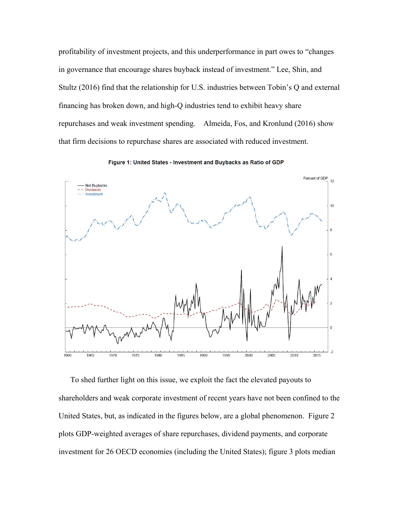profitability of investment projects, and this underperformance in part owes to "changes in governance that encourage shares buyback instead of investment." Lee, Shin, and Stultz (2016) find that the relationship for U.S. industries between Tobin's Q and external financing has broken down, and high-Q industries tend to exhibit heavy share repurchases and weak investment spending. Almeida, Fos, and Kronlund (2016) show that firm decisions to repurchase shares are associated with reduced investment.





To shed further light on this issue, we exploit the fact the elevated payouts to shareholders and weak corporate investment of recent years have not been confined to the United States, but, as indicated in the figures below, are a global phenomenon. Figure 2 plots GDP-weighted averages of share repurchases, dividend payments, and corporate investment for 26 OECD economies (including the United States); figure 3 plots median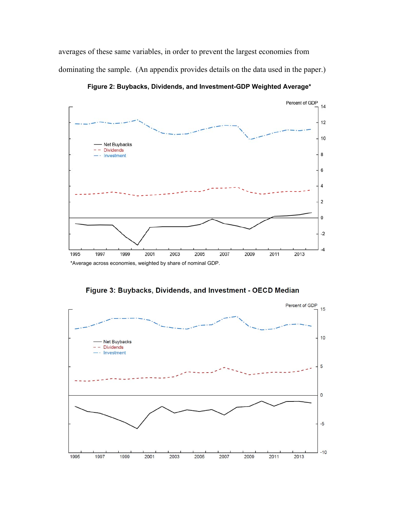averages of these same variables, in order to prevent the largest economies from dominating the sample. (An appendix provides details on the data used in the paper.)



**Figure 2: Buybacks, Dividends, and Investment-GDP Weighted Average\*** 

Figure 3: Buybacks, Dividends, and Investment - OECD Median

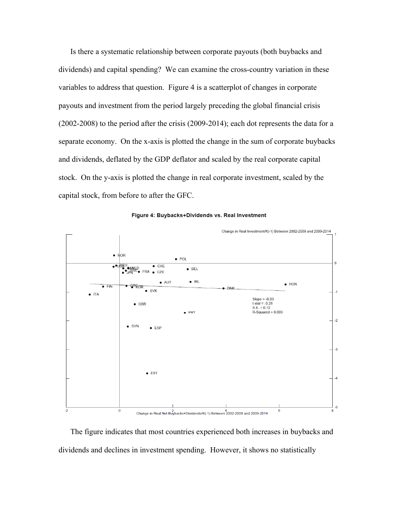Is there a systematic relationship between corporate payouts (both buybacks and dividends) and capital spending? We can examine the cross-country variation in these variables to address that question. Figure 4 is a scatterplot of changes in corporate payouts and investment from the period largely preceding the global financial crisis (2002-2008) to the period after the crisis (2009-2014); each dot represents the data for a separate economy. On the x-axis is plotted the change in the sum of corporate buybacks and dividends, deflated by the GDP deflator and scaled by the real corporate capital stock. On the y-axis is plotted the change in real corporate investment, scaled by the capital stock, from before to after the GFC.



Figure 4: Buybacks+Dividends vs. Real Investment

The figure indicates that most countries experienced both increases in buybacks and dividends and declines in investment spending. However, it shows no statistically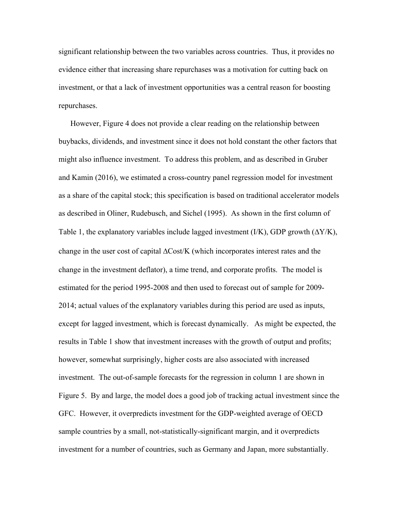significant relationship between the two variables across countries. Thus, it provides no evidence either that increasing share repurchases was a motivation for cutting back on investment, or that a lack of investment opportunities was a central reason for boosting repurchases.

However, Figure 4 does not provide a clear reading on the relationship between buybacks, dividends, and investment since it does not hold constant the other factors that might also influence investment. To address this problem, and as described in Gruber and Kamin (2016), we estimated a cross-country panel regression model for investment as a share of the capital stock; this specification is based on traditional accelerator models as described in Oliner, Rudebusch, and Sichel (1995). As shown in the first column of Table 1, the explanatory variables include lagged investment (I/K), GDP growth ( $\Delta Y/K$ ), change in the user cost of capital  $\Delta \text{Cost/K}$  (which incorporates interest rates and the change in the investment deflator), a time trend, and corporate profits. The model is estimated for the period 1995-2008 and then used to forecast out of sample for 2009- 2014; actual values of the explanatory variables during this period are used as inputs, except for lagged investment, which is forecast dynamically. As might be expected, the results in Table 1 show that investment increases with the growth of output and profits; however, somewhat surprisingly, higher costs are also associated with increased investment. The out-of-sample forecasts for the regression in column 1 are shown in Figure 5. By and large, the model does a good job of tracking actual investment since the GFC. However, it overpredicts investment for the GDP-weighted average of OECD sample countries by a small, not-statistically-significant margin, and it overpredicts investment for a number of countries, such as Germany and Japan, more substantially.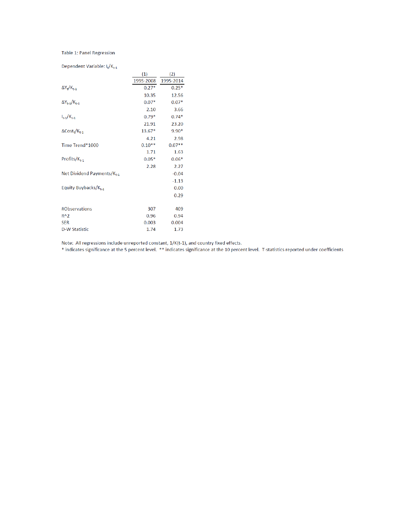#### Table 1: Panel Regression

Dependent Variable: I<sub>t</sub>/K<sub>t-1</sub>

|                                              | (1)      | (2)                 |
|----------------------------------------------|----------|---------------------|
|                                              |          | 1995-2008 1995-2014 |
| $\Delta Y_t/K_{t-1}$                         | $0.27*$  | $0.25*$             |
|                                              | 10.35    | 12.56               |
| $\Delta Y_{t-1}/K_{t-1}$                     | $0.07*$  | $0.07*$             |
|                                              | 2.10     | 3.66                |
| $I_{t-1}/K_{t-1}$                            | $0.79*$  | $0.74*$             |
|                                              | 21.91    | 23.20               |
| $\Delta$ Cost <sub>t</sub> /K <sub>t-1</sub> | $13.67*$ | $9.90*$             |
|                                              | 4.21     | 2.98                |
| Time Trend*1000                              | $0.10**$ | $0.07**$            |
|                                              | 1.71     | 1.63                |
| $Protits/K_{t-1}$                            | $0.05*$  | $0.06*$             |
|                                              | 2.28     | 2.27                |
| Net Dividend Payments/ $K_{t-1}$             |          | $-0.04$             |
|                                              |          | $-1.13$             |
| Equity Buybacks/ $K_{t-1}$                   |          | 0.00                |
|                                              |          | 0.29                |
|                                              |          |                     |
| #Observations                                | 307      | 409                 |
| $R^2$                                        | 0.96     | 0.94                |
| <b>SER</b>                                   | 0.003    | 0.004               |
| <b>D-W Statistic</b>                         | 1.74     | 1.73                |

Note: All regressions include unreported constant, 1/K(t-1), and country fixed effects.

\* indicates significance at the 5 percent level. \*\* indicates significance at the 10 percent level. T-statistics reported under coefficients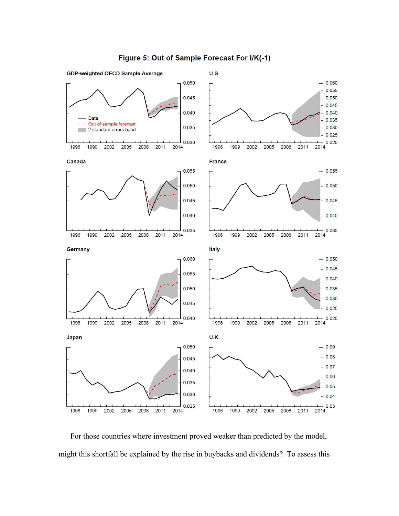

For those countries where investment proved weaker than predicted by the model, might this shortfall be explained by the rise in buybacks and dividends? To assess this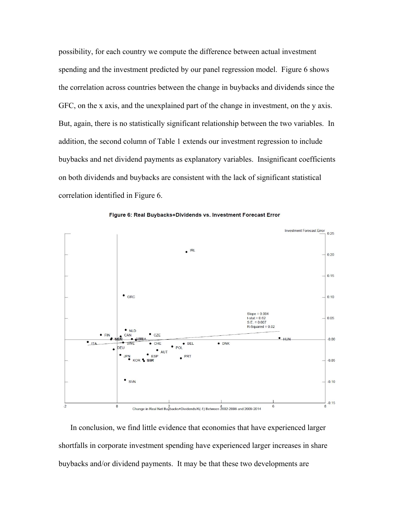possibility, for each country we compute the difference between actual investment spending and the investment predicted by our panel regression model. Figure 6 shows the correlation across countries between the change in buybacks and dividends since the GFC, on the x axis, and the unexplained part of the change in investment, on the y axis. But, again, there is no statistically significant relationship between the two variables. In addition, the second column of Table 1 extends our investment regression to include buybacks and net dividend payments as explanatory variables. Insignificant coefficients on both dividends and buybacks are consistent with the lack of significant statistical correlation identified in Figure 6.



Figure 6: Real Buybacks+Dividends vs. Investment Forecast Error

In conclusion, we find little evidence that economies that have experienced larger shortfalls in corporate investment spending have experienced larger increases in share buybacks and/or dividend payments. It may be that these two developments are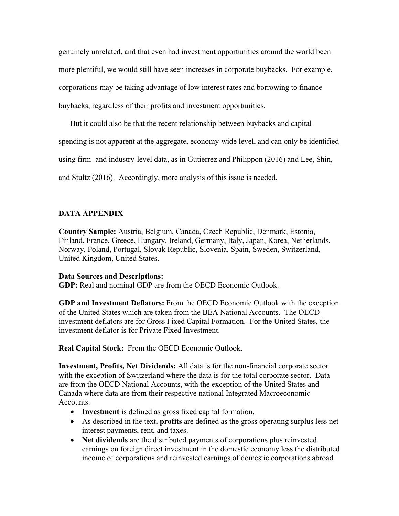genuinely unrelated, and that even had investment opportunities around the world been more plentiful, we would still have seen increases in corporate buybacks. For example, corporations may be taking advantage of low interest rates and borrowing to finance buybacks, regardless of their profits and investment opportunities.

But it could also be that the recent relationship between buybacks and capital

spending is not apparent at the aggregate, economy-wide level, and can only be identified

using firm- and industry-level data, as in Gutierrez and Philippon (2016) and Lee, Shin,

and Stultz (2016). Accordingly, more analysis of this issue is needed.

## **DATA APPENDIX**

**Country Sample:** Austria, Belgium, Canada, Czech Republic, Denmark, Estonia, Finland, France, Greece, Hungary, Ireland, Germany, Italy, Japan, Korea, Netherlands, Norway, Poland, Portugal, Slovak Republic, Slovenia, Spain, Sweden, Switzerland, United Kingdom, United States.

### **Data Sources and Descriptions:**

**GDP:** Real and nominal GDP are from the OECD Economic Outlook.

**GDP and Investment Deflators:** From the OECD Economic Outlook with the exception of the United States which are taken from the BEA National Accounts. The OECD investment deflators are for Gross Fixed Capital Formation. For the United States, the investment deflator is for Private Fixed Investment.

**Real Capital Stock:** From the OECD Economic Outlook.

**Investment, Profits, Net Dividends:** All data is for the non-financial corporate sector with the exception of Switzerland where the data is for the total corporate sector. Data are from the OECD National Accounts, with the exception of the United States and Canada where data are from their respective national Integrated Macroeconomic Accounts.

- **Investment** is defined as gross fixed capital formation.
- As described in the text, **profits** are defined as the gross operating surplus less net interest payments, rent, and taxes.
- **Net dividends** are the distributed payments of corporations plus reinvested earnings on foreign direct investment in the domestic economy less the distributed income of corporations and reinvested earnings of domestic corporations abroad.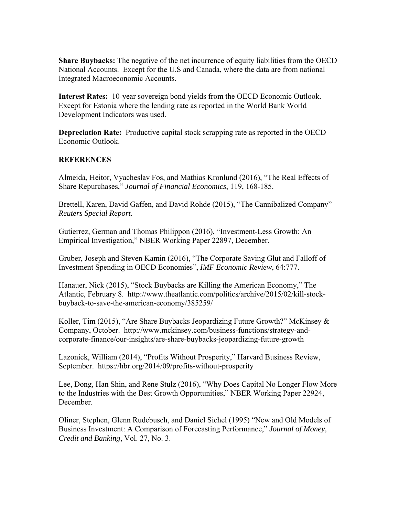**Share Buybacks:** The negative of the net incurrence of equity liabilities from the OECD National Accounts. Except for the U.S and Canada, where the data are from national Integrated Macroeconomic Accounts.

**Interest Rates:** 10-year sovereign bond yields from the OECD Economic Outlook. Except for Estonia where the lending rate as reported in the World Bank World Development Indicators was used.

**Depreciation Rate:** Productive capital stock scrapping rate as reported in the OECD Economic Outlook.

## **REFERENCES**

Almeida, Heitor, Vyacheslav Fos, and Mathias Kronlund (2016), "The Real Effects of Share Repurchases," *Journal of Financial Economics*, 119, 168-185.

Brettell, Karen, David Gaffen, and David Rohde (2015), "The Cannibalized Company" *Reuters Special Report.* 

Gutierrez, German and Thomas Philippon (2016), "Investment-Less Growth: An Empirical Investigation," NBER Working Paper 22897, December.

Gruber, Joseph and Steven Kamin (2016), "The Corporate Saving Glut and Falloff of Investment Spending in OECD Economies", *IMF Economic Review*, 64:777.

Hanauer, Nick (2015), "Stock Buybacks are Killing the American Economy," The Atlantic, February 8. http://www.theatlantic.com/politics/archive/2015/02/kill-stockbuyback-to-save-the-american-economy/385259/

Koller, Tim (2015), "Are Share Buybacks Jeopardizing Future Growth?" McKinsey & Company, October. http://www.mckinsey.com/business-functions/strategy-andcorporate-finance/our-insights/are-share-buybacks-jeopardizing-future-growth

Lazonick, William (2014), "Profits Without Prosperity," Harvard Business Review, September. https://hbr.org/2014/09/profits-without-prosperity

Lee, Dong, Han Shin, and Rene Stulz (2016), "Why Does Capital No Longer Flow More to the Industries with the Best Growth Opportunities," NBER Working Paper 22924, December.

Oliner, Stephen, Glenn Rudebusch, and Daniel Sichel (1995) "New and Old Models of Business Investment: A Comparison of Forecasting Performance," *Journal of Money, Credit and Banking*, Vol. 27, No. 3.